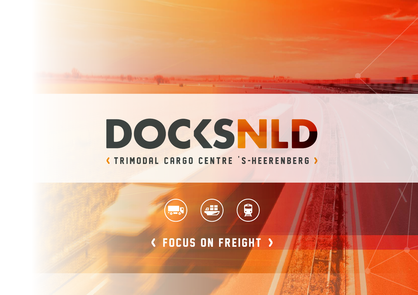

# **DOCKSNLD**

# **(TRIMODAL CARGO CENTRE 'S-HEERENBERG )**



# focus on freight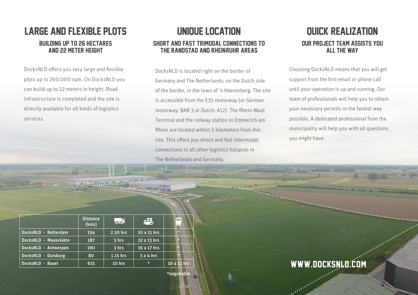## Large and flexible plots building up to 26 hectares and 22 meter height

DocksNLD offers you very large and flexible plots up to 260,000 sqm. On DocksNLD you can build up to 22 meters in height. Road infrastructure is completed and the site is directly available for all kinds of logistics services.

## UniQue location Short and fast trimodal connections to **THE RANDSTAD AND RHEINRUHR AREAS**

DocksNLD is located right on the border of Germany and The Netherlands: on the Dutch side of the border, in the town of 's-Heerenberg. The site is accessible from the E35 motorway (or German motorway: BAB 3 or Dutch: A12). The Rhein-Waal Terminal and the railway station in Emmerich am Rhein are located within 5 kilometers from this site. This offers you direct and fast intermodal connections to all other logistics hotspots in The Netherlands and Germany.

\*negotiable

## Quick realization Our project team assists you all the way

Choosing DocksNLD means that you will get support from the first email or phone call until your operation is up and running. Our team of professionals will help you to obtain your necessary permits in the fastest way possible. A dedicated professional from the municipality will help you with all questions you might have.

|                       | <b>Distance</b><br>(kms) | l. R     | 45          | ÷<br>$=$    |
|-----------------------|--------------------------|----------|-------------|-------------|
| DocksNLD - Rotterdam  | 154                      | 2.30 hrs | 10 a 11 hrs | ×           |
| DocksNLD - Maasvlakte | 187                      | 3 hrs    | 12 a 13 hrs |             |
| DocksNLD - Antwerpen  | 190                      | 3 hrs    | 16 a 17 hrs |             |
| DocksNLD - Duisburg   | 80                       | 1.15 hrs | 3 a 4 hrs   |             |
| DocksNLD - Basel      | 615                      | 10 hrs   | 快           | 10 a 12 hrs |

www.docksnld.com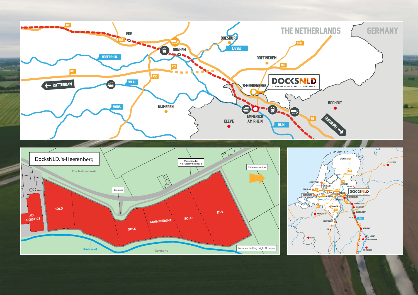